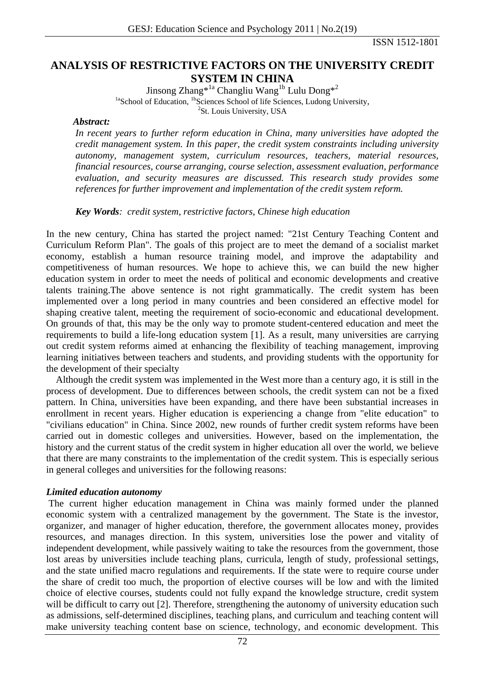ISSN 1512-1801

# **ANALYSIS OF RESTRICTIVE FACTORS ON THE UNIVERSITY CREDIT SYSTEM IN CHINA**

Jinsong Zhang\*<sup>1a</sup> Changliu Wang<sup>1b</sup> Lulu Dong\*<sup>2</sup> <sup>1a</sup>School of Education, <sup>1b</sup>Sciences School of life Sciences, Ludong University, <sup>2</sup>St. Louis University, USA

#### *Abstract:*

*In recent years to further reform education in China, many universities have adopted the credit management system. In this paper, the credit system constraints including university autonomy, management system, curriculum resources, teachers, material resources, financial resources, course arranging, course selection, assessment evaluation, performance evaluation, and security measures are discussed. This research study provides some references for further improvement and implementation of the credit system reform.* 

### *Key Words: credit system, restrictive factors, Chinese high education*

In the new century, China has started the project named: "21st Century Teaching Content and Curriculum Reform Plan". The goals of this project are to meet the demand of a socialist market economy, establish a human resource training model, and improve the adaptability and competitiveness of human resources. We hope to achieve this, we can build the new higher education system in order to meet the needs of political and economic developments and creative talents training.The above sentence is not right grammatically. The credit system has been implemented over a long period in many countries and been considered an effective model for shaping creative talent, meeting the requirement of socio-economic and educational development. On grounds of that, this may be the only way to promote student-centered education and meet the requirements to build a life-long education system [1]. As a result, many universities are carrying out credit system reforms aimed at enhancing the flexibility of teaching management, improving learning initiatives between teachers and students, and providing students with the opportunity for the development of their specialty

 Although the credit system was implemented in the West more than a century ago, it is still in the process of development. Due to differences between schools, the credit system can not be a fixed pattern. In China, universities have been expanding, and there have been substantial increases in enrollment in recent years. Higher education is experiencing a change from "elite education" to "civilians education" in China. Since 2002, new rounds of further credit system reforms have been carried out in domestic colleges and universities. However, based on the implementation, the history and the current status of the credit system in higher education all over the world, we believe that there are many constraints to the implementation of the credit system. This is especially serious in general colleges and universities for the following reasons:

### *Limited education autonomy*

 The current higher education management in China was mainly formed under the planned economic system with a centralized management by the government. The State is the investor, organizer, and manager of higher education, therefore, the government allocates money, provides resources, and manages direction. In this system, universities lose the power and vitality of independent development, while passively waiting to take the resources from the government, those lost areas by universities include teaching plans, curricula, length of study, professional settings, and the state unified macro regulations and requirements. If the state were to require course under the share of credit too much, the proportion of elective courses will be low and with the limited choice of elective courses, students could not fully expand the knowledge structure, credit system will be difficult to carry out [2]. Therefore, strengthening the autonomy of university education such as admissions, self-determined disciplines, teaching plans, and curriculum and teaching content will make university teaching content base on science, technology, and economic development. This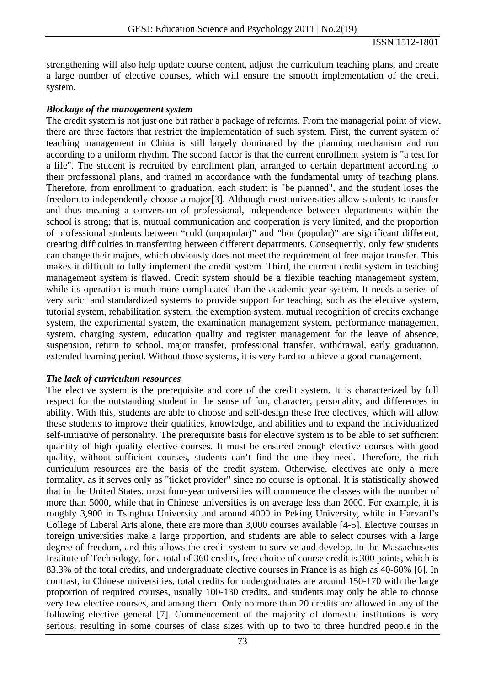strengthening will also help update course content, adjust the curriculum teaching plans, and create a large number of elective courses, which will ensure the smooth implementation of the credit system.

### *Blockage of the management system*

The credit system is not just one but rather a package of reforms. From the managerial point of view, there are three factors that restrict the implementation of such system. First, the current system of teaching management in China is still largely dominated by the planning mechanism and run according to a uniform rhythm. The second factor is that the current enrollment system is "a test for a life". The student is recruited by enrollment plan, arranged to certain department according to their professional plans, and trained in accordance with the fundamental unity of teaching plans. Therefore, from enrollment to graduation, each student is "be planned", and the student loses the freedom to independently choose a major[3]. Although most universities allow students to transfer and thus meaning a conversion of professional, independence between departments within the school is strong; that is, mutual communication and cooperation is very limited, and the proportion of professional students between "cold (unpopular)" and "hot (popular)" are significant different, creating difficulties in transferring between different departments. Consequently, only few students can change their majors, which obviously does not meet the requirement of free major transfer. This makes it difficult to fully implement the credit system. Third, the current credit system in teaching management system is flawed. Credit system should be a flexible teaching management system, while its operation is much more complicated than the academic year system. It needs a series of very strict and standardized systems to provide support for teaching, such as the elective system, tutorial system, rehabilitation system, the exemption system, mutual recognition of credits exchange system, the experimental system, the examination management system, performance management system, charging system, education quality and register management for the leave of absence, suspension, return to school, major transfer, professional transfer, withdrawal, early graduation, extended learning period. Without those systems, it is very hard to achieve a good management.

### *The lack of curriculum resources*

The elective system is the prerequisite and core of the credit system. It is characterized by full respect for the outstanding student in the sense of fun, character, personality, and differences in ability. With this, students are able to choose and self-design these free electives, which will allow these students to improve their qualities, knowledge, and abilities and to expand the individualized self-initiative of personality. The prerequisite basis for elective system is to be able to set sufficient quantity of high quality elective courses. It must be ensured enough elective courses with good quality, without sufficient courses, students can't find the one they need. Therefore, the rich curriculum resources are the basis of the credit system. Otherwise, electives are only a mere formality, as it serves only as "ticket provider" since no course is optional. It is statistically showed that in the United States, most four-year universities will commence the classes with the number of more than 5000, while that in Chinese universities is on average less than 2000. For example, it is roughly 3,900 in Tsinghua University and around 4000 in Peking University, while in Harvard's College of Liberal Arts alone, there are more than 3,000 courses available [4-5]. Elective courses in foreign universities make a large proportion, and students are able to select courses with a large degree of freedom, and this allows the credit system to survive and develop. In the Massachusetts Institute of Technology, for a total of 360 credits, free choice of course credit is 300 points, which is 83.3% of the total credits, and undergraduate elective courses in France is as high as 40-60% [6]. In contrast, in Chinese universities, total credits for undergraduates are around 150-170 with the large proportion of required courses, usually 100-130 credits, and students may only be able to choose very few elective courses, and among them. Only no more than 20 credits are allowed in any of the following elective general [7]. Commencement of the majority of domestic institutions is very serious, resulting in some courses of class sizes with up to two to three hundred people in the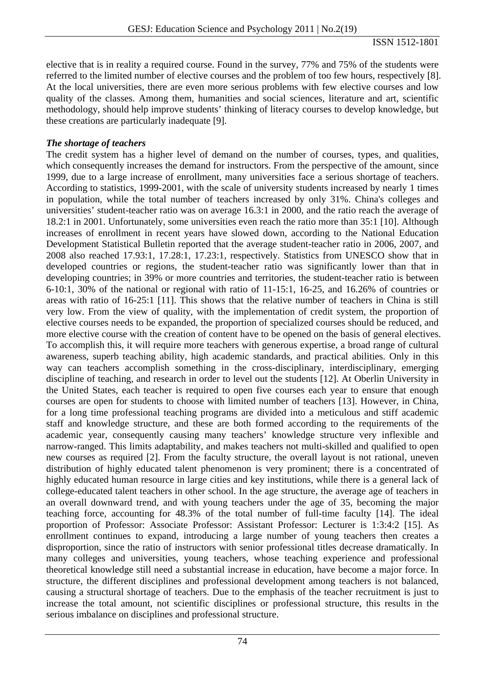elective that is in reality a required course. Found in the survey, 77% and 75% of the students were referred to the limited number of elective courses and the problem of too few hours, respectively [8]. At the local universities, there are even more serious problems with few elective courses and low quality of the classes. Among them, humanities and social sciences, literature and art, scientific methodology, should help improve students' thinking of literacy courses to develop knowledge, but these creations are particularly inadequate [9].

## *The shortage of teachers*

The credit system has a higher level of demand on the number of courses, types, and qualities, which consequently increases the demand for instructors. From the perspective of the amount, since 1999, due to a large increase of enrollment, many universities face a serious shortage of teachers. According to statistics, 1999-2001, with the scale of university students increased by nearly 1 times in population, while the total number of teachers increased by only 31%. China's colleges and universities' student-teacher ratio was on average 16.3:1 in 2000, and the ratio reach the average of 18.2:1 in 2001. Unfortunately, some universities even reach the ratio more than 35:1 [10]. Although increases of enrollment in recent years have slowed down, according to the National Education Development Statistical Bulletin reported that the average student-teacher ratio in 2006, 2007, and 2008 also reached 17.93:1, 17.28:1, 17.23:1, respectively. Statistics from UNESCO show that in developed countries or regions, the student-teacher ratio was significantly lower than that in developing countries; in 39% or more countries and territories, the student-teacher ratio is between 6-10:1, 30% of the national or regional with ratio of 11-15:1, 16-25, and 16.26% of countries or areas with ratio of 16-25:1 [11]. This shows that the relative number of teachers in China is still very low. From the view of quality, with the implementation of credit system, the proportion of elective courses needs to be expanded, the proportion of specialized courses should be reduced, and more elective course with the creation of content have to be opened on the basis of general electives. To accomplish this, it will require more teachers with generous expertise, a broad range of cultural awareness, superb teaching ability, high academic standards, and practical abilities. Only in this way can teachers accomplish something in the cross-disciplinary, interdisciplinary, emerging discipline of teaching, and research in order to level out the students [12]. At Oberlin University in the United States, each teacher is required to open five courses each year to ensure that enough courses are open for students to choose with limited number of teachers [13]. However, in China, for a long time professional teaching programs are divided into a meticulous and stiff academic staff and knowledge structure, and these are both formed according to the requirements of the academic year, consequently causing many teachers' knowledge structure very inflexible and narrow-ranged. This limits adaptability, and makes teachers not multi-skilled and qualified to open new courses as required [2]. From the faculty structure, the overall layout is not rational, uneven distribution of highly educated talent phenomenon is very prominent; there is a concentrated of highly educated human resource in large cities and key institutions, while there is a general lack of college-educated talent teachers in other school. In the age structure, the average age of teachers in an overall downward trend, and with young teachers under the age of 35, becoming the major teaching force, accounting for 48.3% of the total number of full-time faculty [14]. The ideal proportion of Professor: Associate Professor: Assistant Professor: Lecturer is 1:3:4:2 [15]. As enrollment continues to expand, introducing a large number of young teachers then creates a disproportion, since the ratio of instructors with senior professional titles decrease dramatically. In many colleges and universities, young teachers, whose teaching experience and professional theoretical knowledge still need a substantial increase in education, have become a major force. In structure, the different disciplines and professional development among teachers is not balanced, causing a structural shortage of teachers. Due to the emphasis of the teacher recruitment is just to increase the total amount, not scientific disciplines or professional structure, this results in the serious imbalance on disciplines and professional structure.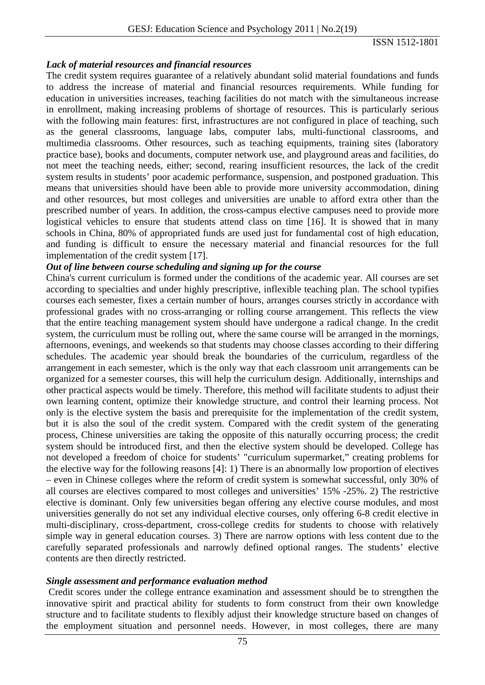### *Lack of material resources and financial resources*

The credit system requires guarantee of a relatively abundant solid material foundations and funds to address the increase of material and financial resources requirements. While funding for education in universities increases, teaching facilities do not match with the simultaneous increase in enrollment, making increasing problems of shortage of resources. This is particularly serious with the following main features: first, infrastructures are not configured in place of teaching, such as the general classrooms, language labs, computer labs, multi-functional classrooms, and multimedia classrooms. Other resources, such as teaching equipments, training sites (laboratory practice base), books and documents, computer network use, and playground areas and facilities, do not meet the teaching needs, either; second, rearing insufficient resources, the lack of the credit system results in students' poor academic performance, suspension, and postponed graduation. This means that universities should have been able to provide more university accommodation, dining and other resources, but most colleges and universities are unable to afford extra other than the prescribed number of years. In addition, the cross-campus elective campuses need to provide more logistical vehicles to ensure that students attend class on time [16]. It is showed that in many schools in China, 80% of appropriated funds are used just for fundamental cost of high education, and funding is difficult to ensure the necessary material and financial resources for the full implementation of the credit system [17].

### *Out of line between course scheduling and signing up for the course*

China's current curriculum is formed under the conditions of the academic year. All courses are set according to specialties and under highly prescriptive, inflexible teaching plan. The school typifies courses each semester, fixes a certain number of hours, arranges courses strictly in accordance with professional grades with no cross-arranging or rolling course arrangement. This reflects the view that the entire teaching management system should have undergone a radical change. In the credit system, the curriculum must be rolling out, where the same course will be arranged in the mornings, afternoons, evenings, and weekends so that students may choose classes according to their differing schedules. The academic year should break the boundaries of the curriculum, regardless of the arrangement in each semester, which is the only way that each classroom unit arrangements can be organized for a semester courses, this will help the curriculum design. Additionally, internships and other practical aspects would be timely. Therefore, this method will facilitate students to adjust their own learning content, optimize their knowledge structure, and control their learning process. Not only is the elective system the basis and prerequisite for the implementation of the credit system, but it is also the soul of the credit system. Compared with the credit system of the generating process, Chinese universities are taking the opposite of this naturally occurring process; the credit system should be introduced first, and then the elective system should be developed. College has not developed a freedom of choice for students' "curriculum supermarket," creating problems for the elective way for the following reasons [4]: 1) There is an abnormally low proportion of electives – even in Chinese colleges where the reform of credit system is somewhat successful, only 30% of all courses are electives compared to most colleges and universities' 15% -25%. 2) The restrictive elective is dominant. Only few universities began offering any elective course modules, and most universities generally do not set any individual elective courses, only offering 6-8 credit elective in multi-disciplinary, cross-department, cross-college credits for students to choose with relatively simple way in general education courses. 3) There are narrow options with less content due to the carefully separated professionals and narrowly defined optional ranges. The students' elective contents are then directly restricted.

## *Single assessment and performance evaluation method*

 Credit scores under the college entrance examination and assessment should be to strengthen the innovative spirit and practical ability for students to form construct from their own knowledge structure and to facilitate students to flexibly adjust their knowledge structure based on changes of the employment situation and personnel needs. However, in most colleges, there are many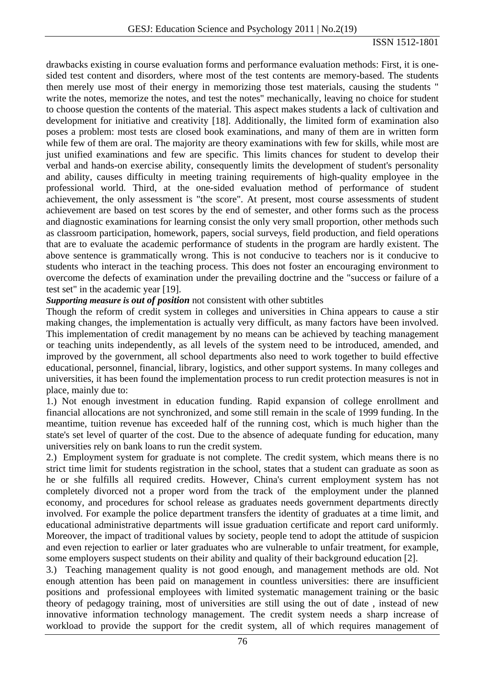drawbacks existing in course evaluation forms and performance evaluation methods: First, it is onesided test content and disorders, where most of the test contents are memory-based. The students then merely use most of their energy in memorizing those test materials, causing the students " write the notes, memorize the notes, and test the notes" mechanically, leaving no choice for student to choose question the contents of the material. This aspect makes students a lack of cultivation and development for initiative and creativity [18]. Additionally, the limited form of examination also poses a problem: most tests are closed book examinations, and many of them are in written form while few of them are oral. The majority are theory examinations with few for skills, while most are just unified examinations and few are specific. This limits chances for student to develop their verbal and hands-on exercise ability, consequently limits the development of student's personality and ability, causes difficulty in meeting training requirements of high-quality employee in the professional world. Third, at the one-sided evaluation method of performance of student achievement, the only assessment is "the score". At present, most course assessments of student achievement are based on test scores by the end of semester, and other forms such as the process and diagnostic examinations for learning consist the only very small proportion, other methods such as classroom participation, homework, papers, social surveys, field production, and field operations that are to evaluate the academic performance of students in the program are hardly existent. The above sentence is grammatically wrong. This is not conducive to teachers nor is it conducive to students who interact in the teaching process. This does not foster an encouraging environment to overcome the defects of examination under the prevailing doctrine and the "success or failure of a test set" in the academic year [19].

## *Supporting measure is out of position* not consistent with other subtitles

Though the reform of credit system in colleges and universities in China appears to cause a stir making changes, the implementation is actually very difficult, as many factors have been involved. This implementation of credit management by no means can be achieved by teaching management or teaching units independently, as all levels of the system need to be introduced, amended, and improved by the government, all school departments also need to work together to build effective educational, personnel, financial, library, logistics, and other support systems. In many colleges and universities, it has been found the implementation process to run credit protection measures is not in place, mainly due to:

1.) Not enough investment in education funding. Rapid expansion of college enrollment and financial allocations are not synchronized, and some still remain in the scale of 1999 funding. In the meantime, tuition revenue has exceeded half of the running cost, which is much higher than the state's set level of quarter of the cost. Due to the absence of adequate funding for education, many universities rely on bank loans to run the credit system.

2.) Employment system for graduate is not complete. The credit system, which means there is no strict time limit for students registration in the school, states that a student can graduate as soon as he or she fulfills all required credits. However, China's current employment system has not completely divorced not a proper word from the track of the employment under the planned economy, and procedures for school release as graduates needs government departments directly involved. For example the police department transfers the identity of graduates at a time limit, and educational administrative departments will issue graduation certificate and report card uniformly. Moreover, the impact of traditional values by society, people tend to adopt the attitude of suspicion and even rejection to earlier or later graduates who are vulnerable to unfair treatment, for example, some employers suspect students on their ability and quality of their background education [2].

3.) Teaching management quality is not good enough, and management methods are old. Not enough attention has been paid on management in countless universities: there are insufficient positions and professional employees with limited systematic management training or the basic theory of pedagogy training, most of universities are still using the out of date , instead of new innovative information technology management. The credit system needs a sharp increase of workload to provide the support for the credit system, all of which requires management of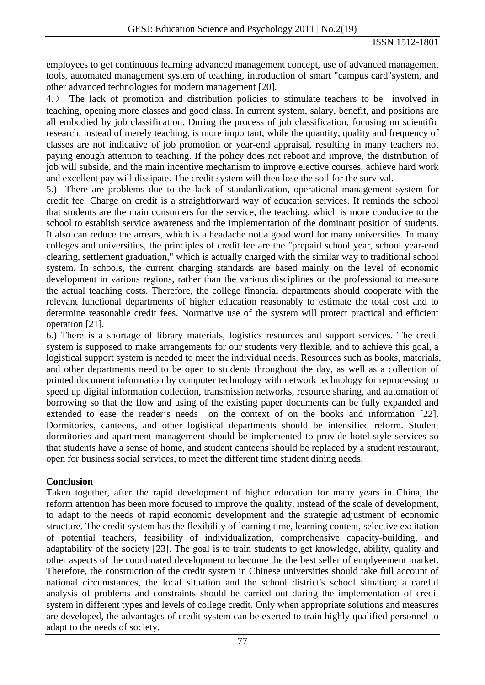employees to get continuous learning advanced management concept, use of advanced management tools, automated management system of teaching, introduction of smart "campus card"system, and other advanced technologies for modern management [20].

4.) The lack of promotion and distribution policies to stimulate teachers to be involved in teaching, opening more classes and good class. In current system, salary, benefit, and positions are all embodied by job classification. During the process of job classification, focusing on scientific research, instead of merely teaching, is more important; while the quantity, quality and frequency of classes are not indicative of job promotion or year-end appraisal, resulting in many teachers not paying enough attention to teaching. If the policy does not reboot and improve, the distribution of job will subside, and the main incentive mechanism to improve elective courses, achieve hard work and excellent pay will dissipate. The credit system will then lose the soil for the survival.

5.) There are problems due to the lack of standardization, operational management system for credit fee. Charge on credit is a straightforward way of education services. It reminds the school that students are the main consumers for the service, the teaching, which is more conducive to the school to establish service awareness and the implementation of the dominant position of students. It also can reduce the arrears, which is a headache not a good word for many universities. In many colleges and universities, the principles of credit fee are the "prepaid school year, school year-end clearing, settlement graduation," which is actually charged with the similar way to traditional school system. In schools, the current charging standards are based mainly on the level of economic development in various regions, rather than the various disciplines or the professional to measure the actual teaching costs. Therefore, the college financial departments should cooperate with the relevant functional departments of higher education reasonably to estimate the total cost and to determine reasonable credit fees. Normative use of the system will protect practical and efficient operation [21].

6.) There is a shortage of library materials, logistics resources and support services. The credit system is supposed to make arrangements for our students very flexible, and to achieve this goal, a logistical support system is needed to meet the individual needs. Resources such as books, materials, and other departments need to be open to students throughout the day, as well as a collection of printed document information by computer technology with network technology for reprocessing to speed up digital information collection, transmission networks, resource sharing, and automation of borrowing so that the flow and using of the existing paper documents can be fully expanded and extended to ease the reader's needs on the context of on the books and information [22]. Dormitories, canteens, and other logistical departments should be intensified reform. Student dormitories and apartment management should be implemented to provide hotel-style services so that students have a sense of home, and student canteens should be replaced by a student restaurant, open for business social services, to meet the different time student dining needs.

# **Conclusion**

Taken together, after the rapid development of higher education for many years in China, the reform attention has been more focused to improve the quality, instead of the scale of development, to adapt to the needs of rapid economic development and the strategic adjustment of economic structure. The credit system has the flexibility of learning time, learning content, selective excitation of potential teachers, feasibility of individualization, comprehensive capacity-building, and adaptability of the society [23]. The goal is to train students to get knowledge, ability, quality and other aspects of the coordinated development to become the the best seller of emplyeement market. Therefore, the construction of the credit system in Chinese universities should take full account of national circumstances, the local situation and the school district's school situation; a careful analysis of problems and constraints should be carried out during the implementation of credit system in different types and levels of college credit. Only when appropriate solutions and measures are developed, the advantages of credit system can be exerted to train highly qualified personnel to adapt to the needs of society.